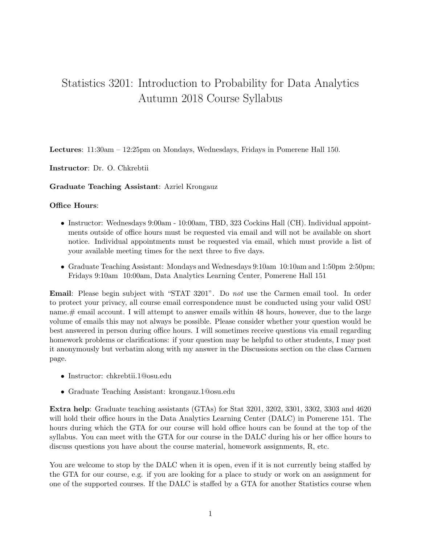## Statistics 3201: Introduction to Probability for Data Analytics Autumn 2018 Course Syllabus

Lectures: 11:30am – 12:25pm on Mondays, Wednesdays, Fridays in Pomerene Hall 150.

Instructor: Dr. O. Chkrebtii

Graduate Teaching Assistant: Azriel Krongauz

## Office Hours:

- Instructor: Wednesdays 9:00am 10:00am, TBD, 323 Cockins Hall (CH). Individual appointments outside of office hours must be requested via email and will not be available on short notice. Individual appointments must be requested via email, which must provide a list of your available meeting times for the next three to five days.
- Graduate Teaching Assistant: Mondays and Wednesdays 9:10am 10:10am and 1:50pm 2:50pm; Fridays 9:10am 10:00am, Data Analytics Learning Center, Pomerene Hall 151

Email: Please begin subject with "STAT 3201". Do not use the Carmen email tool. In order to protect your privacy, all course email correspondence must be conducted using your valid OSU name.# email account. I will attempt to answer emails within 48 hours, however, due to the large volume of emails this may not always be possible. Please consider whether your question would be best answered in person during office hours. I will sometimes receive questions via email regarding homework problems or clarifications: if your question may be helpful to other students, I may post it anonymously but verbatim along with my answer in the Discussions section on the class Carmen page.

- Instructor: chkrebtii.1@osu.edu
- Graduate Teaching Assistant: krongauz.1@osu.edu

Extra help: Graduate teaching assistants (GTAs) for Stat 3201, 3202, 3301, 3302, 3303 and 4620 will hold their office hours in the Data Analytics Learning Center (DALC) in Pomerene 151. The hours during which the GTA for our course will hold office hours can be found at the top of the syllabus. You can meet with the GTA for our course in the DALC during his or her office hours to discuss questions you have about the course material, homework assignments, R, etc.

You are welcome to stop by the DALC when it is open, even if it is not currently being staffed by the GTA for our course, e.g. if you are looking for a place to study or work on an assignment for one of the supported courses. If the DALC is staffed by a GTA for another Statistics course when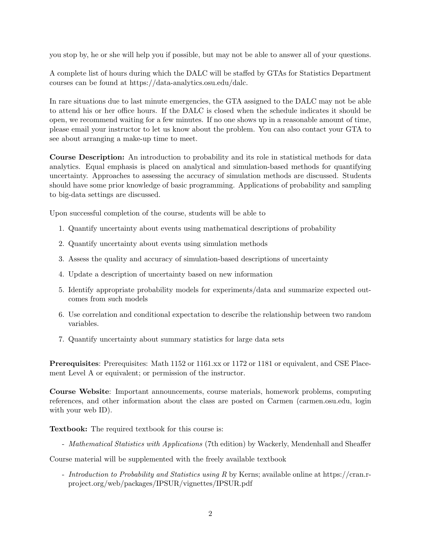you stop by, he or she will help you if possible, but may not be able to answer all of your questions.

A complete list of hours during which the DALC will be staffed by GTAs for Statistics Department courses can be found at https://data-analytics.osu.edu/dalc.

In rare situations due to last minute emergencies, the GTA assigned to the DALC may not be able to attend his or her office hours. If the DALC is closed when the schedule indicates it should be open, we recommend waiting for a few minutes. If no one shows up in a reasonable amount of time, please email your instructor to let us know about the problem. You can also contact your GTA to see about arranging a make-up time to meet.

Course Description: An introduction to probability and its role in statistical methods for data analytics. Equal emphasis is placed on analytical and simulation-based methods for quantifying uncertainty. Approaches to assessing the accuracy of simulation methods are discussed. Students should have some prior knowledge of basic programming. Applications of probability and sampling to big-data settings are discussed.

Upon successful completion of the course, students will be able to

- 1. Quantify uncertainty about events using mathematical descriptions of probability
- 2. Quantify uncertainty about events using simulation methods
- 3. Assess the quality and accuracy of simulation-based descriptions of uncertainty
- 4. Update a description of uncertainty based on new information
- 5. Identify appropriate probability models for experiments/data and summarize expected outcomes from such models
- 6. Use correlation and conditional expectation to describe the relationship between two random variables.
- 7. Quantify uncertainty about summary statistics for large data sets

Prerequisites: Prerequisites: Math 1152 or 1161.xx or 1172 or 1181 or equivalent, and CSE Placement Level A or equivalent; or permission of the instructor.

Course Website: Important announcements, course materials, homework problems, computing references, and other information about the class are posted on Carmen (carmen.osu.edu, login with your web ID.

Textbook: The required textbook for this course is:

- Mathematical Statistics with Applications (7th edition) by Wackerly, Mendenhall and Sheaffer

Course material will be supplemented with the freely available textbook

- Introduction to Probability and Statistics using R by Kerns; available online at https://cran.rproject.org/web/packages/IPSUR/vignettes/IPSUR.pdf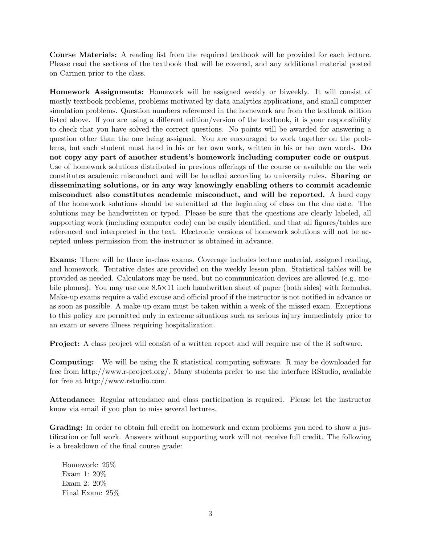Course Materials: A reading list from the required textbook will be provided for each lecture. Please read the sections of the textbook that will be covered, and any additional material posted on Carmen prior to the class.

Homework Assignments: Homework will be assigned weekly or biweekly. It will consist of mostly textbook problems, problems motivated by data analytics applications, and small computer simulation problems. Question numbers referenced in the homework are from the textbook edition listed above. If you are using a different edition/version of the textbook, it is your responsibility to check that you have solved the correct questions. No points will be awarded for answering a question other than the one being assigned. You are encouraged to work together on the problems, but each student must hand in his or her own work, written in his or her own words. Do not copy any part of another student's homework including computer code or output. Use of homework solutions distributed in previous offerings of the course or available on the web constitutes academic misconduct and will be handled according to university rules. Sharing or disseminating solutions, or in any way knowingly enabling others to commit academic misconduct also constitutes academic misconduct, and will be reported. A hard copy of the homework solutions should be submitted at the beginning of class on the due date. The solutions may be handwritten or typed. Please be sure that the questions are clearly labeled, all supporting work (including computer code) can be easily identified, and that all figures/tables are referenced and interpreted in the text. Electronic versions of homework solutions will not be accepted unless permission from the instructor is obtained in advance.

Exams: There will be three in-class exams. Coverage includes lecture material, assigned reading, and homework. Tentative dates are provided on the weekly lesson plan. Statistical tables will be provided as needed. Calculators may be used, but no communication devices are allowed (e.g. mobile phones). You may use one  $8.5 \times 11$  inch handwritten sheet of paper (both sides) with formulas. Make-up exams require a valid excuse and official proof if the instructor is not notified in advance or as soon as possible. A make-up exam must be taken within a week of the missed exam. Exceptions to this policy are permitted only in extreme situations such as serious injury immediately prior to an exam or severe illness requiring hospitalization.

Project: A class project will consist of a written report and will require use of the R software.

Computing: We will be using the R statistical computing software. R may be downloaded for free from http://www.r-project.org/. Many students prefer to use the interface RStudio, available for free at http://www.rstudio.com.

Attendance: Regular attendance and class participation is required. Please let the instructor know via email if you plan to miss several lectures.

Grading: In order to obtain full credit on homework and exam problems you need to show a justification or full work. Answers without supporting work will not receive full credit. The following is a breakdown of the final course grade:

Homework: 25% Exam 1: 20% Exam 2: 20% Final Exam: 25%